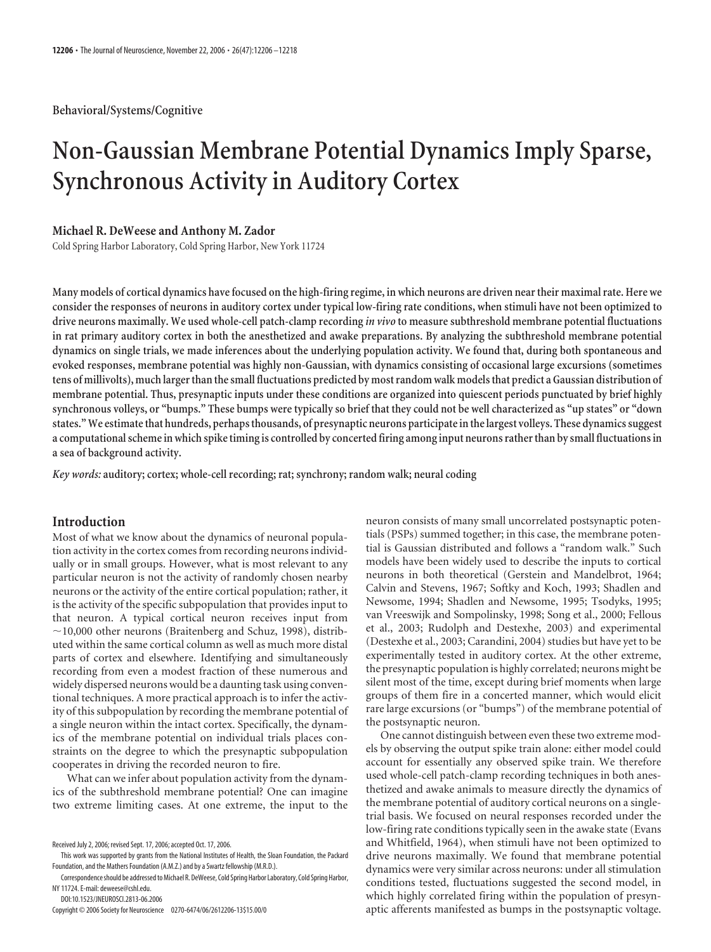**Behavioral/Systems/Cognitive**

# **Non-Gaussian Membrane Potential Dynamics Imply Sparse, Synchronous Activity in Auditory Cortex**

# **Michael R. DeWeese and Anthony M. Zador**

Cold Spring Harbor Laboratory, Cold Spring Harbor, New York 11724

**Many models of cortical dynamics have focused on the high-firing regime, in which neurons are driven near their maximal rate. Here we consider the responses of neurons in auditory cortex under typical low-firing rate conditions, when stimuli have not been optimized to drive neurons maximally. We used whole-cell patch-clamp recording** *in vivo* **to measure subthreshold membrane potential fluctuations in rat primary auditory cortex in both the anesthetized and awake preparations. By analyzing the subthreshold membrane potential dynamics on single trials, we made inferences about the underlying population activity. We found that, during both spontaneous and evoked responses, membrane potential was highly non-Gaussian, with dynamics consisting of occasional large excursions (sometimes tens of millivolts), much largerthanthe small fluctuations predicted by most random walk modelsthat predict a Gaussian distribution of membrane potential. Thus, presynaptic inputs under these conditions are organized into quiescent periods punctuated by brief highly synchronous volleys, or "bumps." These bumps were typically so brief that they could not be well characterized as "up states" or "down** states." We estimate that hundreds, perhaps thousands, of presynaptic neurons participate in the largest volleys. These dynamics suggest **a computational scheme in which spiketiming is controlled by concerted firing among input neurons ratherthan by small fluctuations in a sea of background activity.**

*Key words:* **auditory; cortex; whole-cell recording; rat; synchrony; random walk; neural coding**

# **Introduction**

Most of what we know about the dynamics of neuronal population activity in the cortex comes from recording neurons individually or in small groups. However, what is most relevant to any particular neuron is not the activity of randomly chosen nearby neurons or the activity of the entire cortical population; rather, it is the activity of the specific subpopulation that provides input to that neuron. A typical cortical neuron receives input from  $\sim$ 10,000 other neurons (Braitenberg and Schuz, 1998), distributed within the same cortical column as well as much more distal parts of cortex and elsewhere. Identifying and simultaneously recording from even a modest fraction of these numerous and widely dispersed neurons would be a daunting task using conventional techniques. A more practical approach is to infer the activity of this subpopulation by recording the membrane potential of a single neuron within the intact cortex. Specifically, the dynamics of the membrane potential on individual trials places constraints on the degree to which the presynaptic subpopulation cooperates in driving the recorded neuron to fire.

What can we infer about population activity from the dynamics of the subthreshold membrane potential? One can imagine two extreme limiting cases. At one extreme, the input to the

DOI:10.1523/JNEUROSCI.2813-06.2006

neuron consists of many small uncorrelated postsynaptic potentials (PSPs) summed together; in this case, the membrane potential is Gaussian distributed and follows a "random walk." Such models have been widely used to describe the inputs to cortical neurons in both theoretical (Gerstein and Mandelbrot, 1964; Calvin and Stevens, 1967; Softky and Koch, 1993; Shadlen and Newsome, 1994; Shadlen and Newsome, 1995; Tsodyks, 1995; van Vreeswijk and Sompolinsky, 1998; Song et al., 2000; Fellous et al., 2003; Rudolph and Destexhe, 2003) and experimental (Destexhe et al., 2003; Carandini, 2004) studies but have yet to be experimentally tested in auditory cortex. At the other extreme, the presynaptic population is highly correlated; neurons might be silent most of the time, except during brief moments when large groups of them fire in a concerted manner, which would elicit rare large excursions (or "bumps") of the membrane potential of the postsynaptic neuron.

One cannot distinguish between even these two extreme models by observing the output spike train alone: either model could account for essentially any observed spike train. We therefore used whole-cell patch-clamp recording techniques in both anesthetized and awake animals to measure directly the dynamics of the membrane potential of auditory cortical neurons on a singletrial basis. We focused on neural responses recorded under the low-firing rate conditions typically seen in the awake state (Evans and Whitfield, 1964), when stimuli have not been optimized to drive neurons maximally. We found that membrane potential dynamics were very similar across neurons: under all stimulation conditions tested, fluctuations suggested the second model, in which highly correlated firing within the population of presynaptic afferents manifested as bumps in the postsynaptic voltage.

Received July 2, 2006; revised Sept. 17, 2006; accepted Oct. 17, 2006.

This work was supported by grants from the National Institutes of Health, the Sloan Foundation, the Packard Foundation, and the Mathers Foundation (A.M.Z.) and by a Swartz fellowship (M.R.D.).

Correspondence should be addressed to Michael R. DeWeese, Cold Spring Harbor Laboratory, Cold Spring Harbor, NY 11724. E-mail: deweese@cshl.edu.

Copyright © 2006 Society for Neuroscience 0270-6474/06/2612206-13\$15.00/0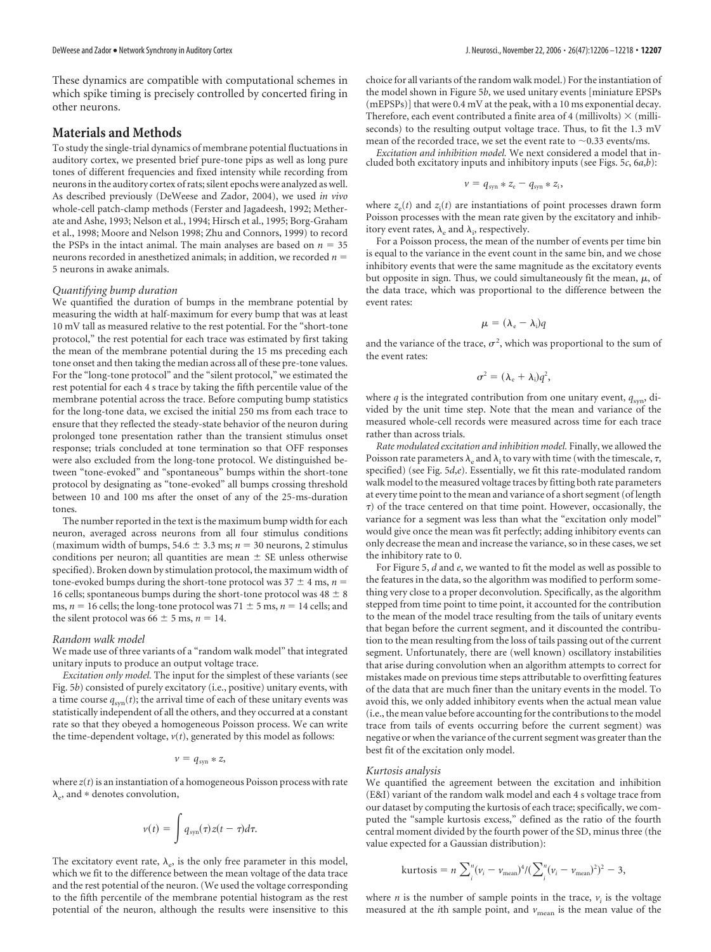These dynamics are compatible with computational schemes in which spike timing is precisely controlled by concerted firing in other neurons.

# **Materials and Methods**

To study the single-trial dynamics of membrane potential fluctuations in auditory cortex, we presented brief pure-tone pips as well as long pure tones of different frequencies and fixed intensity while recording from neurons in the auditory cortex of rats; silent epochs were analyzed as well. As described previously (DeWeese and Zador, 2004), we used *in vivo* whole-cell patch-clamp methods (Ferster and Jagadeesh, 1992; Metherate and Ashe, 1993; Nelson et al., 1994; Hirsch et al., 1995; Borg-Graham et al., 1998; Moore and Nelson 1998; Zhu and Connors, 1999) to record the PSPs in the intact animal. The main analyses are based on  $n = 35$ neurons recorded in anesthetized animals; in addition, we recorded  $n =$ 5 neurons in awake animals.

#### *Quantifying bump duration*

We quantified the duration of bumps in the membrane potential by measuring the width at half-maximum for every bump that was at least 10 mV tall as measured relative to the rest potential. For the "short-tone protocol," the rest potential for each trace was estimated by first taking the mean of the membrane potential during the 15 ms preceding each tone onset and then taking the median across all of these pre-tone values. For the "long-tone protocol" and the "silent protocol," we estimated the rest potential for each 4 s trace by taking the fifth percentile value of the membrane potential across the trace. Before computing bump statistics for the long-tone data, we excised the initial 250 ms from each trace to ensure that they reflected the steady-state behavior of the neuron during prolonged tone presentation rather than the transient stimulus onset response; trials concluded at tone termination so that OFF responses were also excluded from the long-tone protocol. We distinguished between "tone-evoked" and "spontaneous" bumps within the short-tone protocol by designating as "tone-evoked" all bumps crossing threshold between 10 and 100 ms after the onset of any of the 25-ms-duration tones.

The number reported in the text is the maximum bump width for each neuron, averaged across neurons from all four stimulus conditions (maximum width of bumps,  $54.6 \pm 3.3$  ms;  $n = 30$  neurons, 2 stimulus conditions per neuron; all quantities are mean  $\pm$  SE unless otherwise specified). Broken down by stimulation protocol, the maximum width of tone-evoked bumps during the short-tone protocol was  $37 \pm 4$  ms,  $n =$ 16 cells; spontaneous bumps during the short-tone protocol was  $48 \pm 8$ ms,  $n = 16$  cells; the long-tone protocol was  $71 \pm 5$  ms,  $n = 14$  cells; and the silent protocol was  $66 \pm 5$  ms,  $n = 14$ .

#### *Random walk model*

We made use of three variants of a "random walk model" that integrated unitary inputs to produce an output voltage trace.

*Excitation only model.* The input for the simplest of these variants (see Fig. 5*b*) consisted of purely excitatory (i.e., positive) unitary events, with a time course  $q_{syn}(t)$ ; the arrival time of each of these unitary events was statistically independent of all the others, and they occurred at a constant rate so that they obeyed a homogeneous Poisson process. We can write the time-dependent voltage,  $v(t)$ , generated by this model as follows:

$$
v=q_{syn}*z,
$$

where *z*(*t*) is an instantiation of a homogeneous Poisson process with rate  $\lambda_e$ , and \* denotes convolution,

$$
v(t) = \int q_{syn}(\tau) z(t - \tau) d\tau.
$$

The excitatory event rate,  $\lambda_e$ , is the only free parameter in this model, which we fit to the difference between the mean voltage of the data trace and the rest potential of the neuron. (We used the voltage corresponding to the fifth percentile of the membrane potential histogram as the rest potential of the neuron, although the results were insensitive to this

choice for all variants of the random walk model.) For the instantiation of the model shown in Figure 5*b*, we used unitary events [miniature EPSPs (mEPSPs)] that were 0.4 mV at the peak, with a 10 ms exponential decay. Therefore, each event contributed a finite area of 4 (millivolts)  $\times$  (milliseconds) to the resulting output voltage trace. Thus, to fit the 1.3 mV mean of the recorded trace, we set the event rate to  $\sim$  0.33 events/ms.

*Excitation and inhibition model.* We next considered a model that included both excitatory inputs and inhibitory inputs (see Figs. 5*c*, 6*a*,*b*):

$$
v = q_{syn} * z_e - q_{syn} * z_i,
$$

where  $z_e(t)$  and  $z_i(t)$  are instantiations of point processes drawn form Poisson processes with the mean rate given by the excitatory and inhibitory event rates,  $\lambda_e$  and  $\lambda_i$ , respectively.

For a Poisson process, the mean of the number of events per time bin is equal to the variance in the event count in the same bin, and we chose inhibitory events that were the same magnitude as the excitatory events but opposite in sign. Thus, we could simultaneously fit the mean,  $\mu$ , of the data trace, which was proportional to the difference between the event rates:

$$
\mu = (\lambda_{\rm e} - \lambda_{\rm i})q
$$

and the variance of the trace,  $\sigma^2$ , which was proportional to the sum of the event rates:

$$
\sigma^2 = (\lambda_e + \lambda_i)q^2,
$$

where  $q$  is the integrated contribution from one unitary event,  $q_{syn}$ , divided by the unit time step. Note that the mean and variance of the measured whole-cell records were measured across time for each trace rather than across trials.

*Rate modulated excitation and inhibition model.* Finally, we allowed the Poisson rate parameters  $\lambda_{\rm e}$  and  $\lambda_{\rm i}$  to vary with time (with the timescale,  $\tau$ , specified) (see Fig. 5*d*,*e*). Essentially, we fit this rate-modulated random walk model to the measured voltage traces by fitting both rate parameters at every time point to the mean and variance of a short segment (of length ) of the trace centered on that time point. However, occasionally, the variance for a segment was less than what the "excitation only model" would give once the mean was fit perfectly; adding inhibitory events can only decrease the mean and increase the variance, so in these cases, we set the inhibitory rate to 0.

For Figure 5, *d* and *e*, we wanted to fit the model as well as possible to the features in the data, so the algorithm was modified to perform something very close to a proper deconvolution. Specifically, as the algorithm stepped from time point to time point, it accounted for the contribution to the mean of the model trace resulting from the tails of unitary events that began before the current segment, and it discounted the contribution to the mean resulting from the loss of tails passing out of the current segment. Unfortunately, there are (well known) oscillatory instabilities that arise during convolution when an algorithm attempts to correct for mistakes made on previous time steps attributable to overfitting features of the data that are much finer than the unitary events in the model. To avoid this, we only added inhibitory events when the actual mean value (i.e., the mean value before accounting for the contributions to the model trace from tails of events occurring before the current segment) was negative or when the variance of the current segment was greater than the best fit of the excitation only model.

#### *Kurtosis analysis*

We quantified the agreement between the excitation and inhibition (E&I) variant of the random walk model and each 4 s voltage trace from our dataset by computing the kurtosis of each trace; specifically, we computed the "sample kurtosis excess," defined as the ratio of the fourth central moment divided by the fourth power of the SD, minus three (the value expected for a Gaussian distribution):

kurtosis = 
$$
n \sum_{i}^{n} (\nu_i - \nu_{\text{mean}})^4 / (\sum_{i}^{n} (\nu_i - \nu_{\text{mean}})^2)^2 - 3
$$
,

where *n* is the number of sample points in the trace,  $v_i$  is the voltage measured at the *i*th sample point, and  $v_{\text{mean}}$  is the mean value of the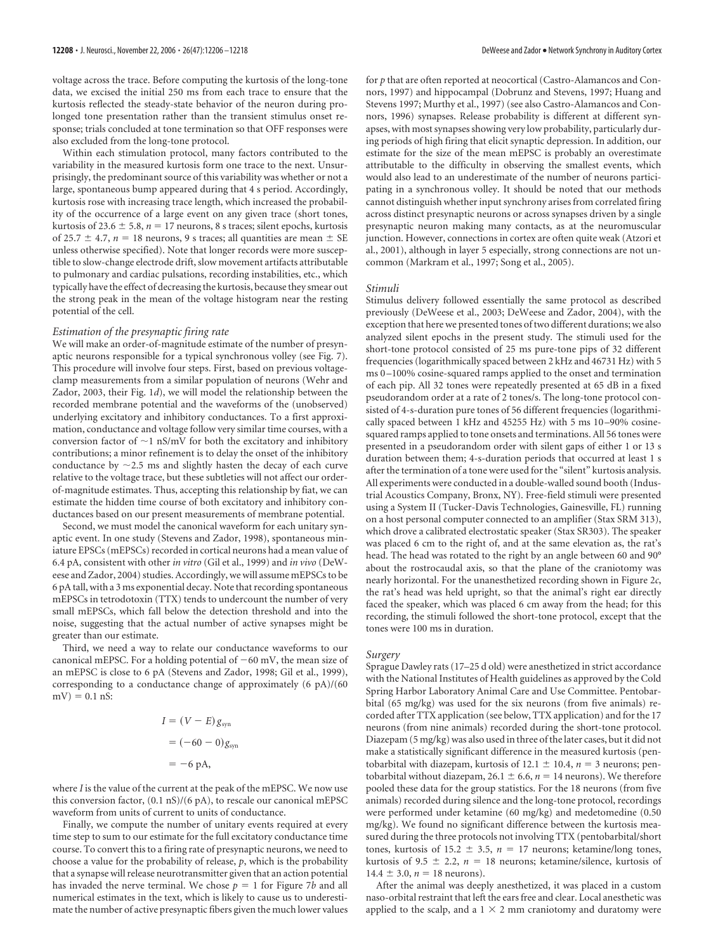voltage across the trace. Before computing the kurtosis of the long-tone data, we excised the initial 250 ms from each trace to ensure that the kurtosis reflected the steady-state behavior of the neuron during prolonged tone presentation rather than the transient stimulus onset response; trials concluded at tone termination so that OFF responses were also excluded from the long-tone protocol.

Within each stimulation protocol, many factors contributed to the variability in the measured kurtosis form one trace to the next. Unsurprisingly, the predominant source of this variability was whether or not a large, spontaneous bump appeared during that 4 s period. Accordingly, kurtosis rose with increasing trace length, which increased the probability of the occurrence of a large event on any given trace (short tones, kurtosis of 23.6  $\pm$  5.8,  $n = 17$  neurons, 8 s traces; silent epochs, kurtosis of 25.7  $\pm$  4.7,  $n = 18$  neurons, 9 s traces; all quantities are mean  $\pm$  SE unless otherwise specified). Note that longer records were more susceptible to slow-change electrode drift, slow movement artifacts attributable to pulmonary and cardiac pulsations, recording instabilities, etc., which typically have the effect of decreasing the kurtosis, because they smear out the strong peak in the mean of the voltage histogram near the resting potential of the cell.

#### *Estimation of the presynaptic firing rate*

We will make an order-of-magnitude estimate of the number of presynaptic neurons responsible for a typical synchronous volley (see Fig. 7). This procedure will involve four steps. First, based on previous voltageclamp measurements from a similar population of neurons (Wehr and Zador, 2003, their Fig. 1*d*), we will model the relationship between the recorded membrane potential and the waveforms of the (unobserved) underlying excitatory and inhibitory conductances. To a first approximation, conductance and voltage follow very similar time courses, with a conversion factor of  $\sim$ 1 nS/mV for both the excitatory and inhibitory contributions; a minor refinement is to delay the onset of the inhibitory conductance by  $\sim$  2.5 ms and slightly hasten the decay of each curve relative to the voltage trace, but these subtleties will not affect our orderof-magnitude estimates. Thus, accepting this relationship by fiat, we can estimate the hidden time course of both excitatory and inhibitory conductances based on our present measurements of membrane potential.

Second, we must model the canonical waveform for each unitary synaptic event. In one study (Stevens and Zador, 1998), spontaneous miniature EPSCs (mEPSCs) recorded in cortical neurons had a mean value of 6.4 pA, consistent with other *in vitro* (Gil et al., 1999) and *in vivo* (DeWeese and Zador, 2004) studies. Accordingly, we will assume mEPSCs to be 6 pA tall, with a 3 ms exponential decay. Note that recording spontaneous mEPSCs in tetrodotoxin (TTX) tends to undercount the number of very small mEPSCs, which fall below the detection threshold and into the noise, suggesting that the actual number of active synapses might be greater than our estimate.

Third, we need a way to relate our conductance waveforms to our canonical mEPSC. For a holding potential of  $-60$  mV, the mean size of an mEPSC is close to 6 pA (Stevens and Zador, 1998; Gil et al., 1999), corresponding to a conductance change of approximately (6 pA)/(60  $mV$ ) = 0.1 nS:

$$
I = (V - E) gsyn
$$

$$
= (-60 - 0) gsyn
$$

$$
= -6 pA,
$$

where *I* is the value of the current at the peak of the mEPSC. We now use this conversion factor, (0.1 nS)/(6 pA), to rescale our canonical mEPSC waveform from units of current to units of conductance.

Finally, we compute the number of unitary events required at every time step to sum to our estimate for the full excitatory conductance time course. To convert this to a firing rate of presynaptic neurons, we need to choose a value for the probability of release, *p*, which is the probability that a synapse will release neurotransmitter given that an action potential has invaded the nerve terminal. We chose  $p = 1$  for Figure 7*b* and all numerical estimates in the text, which is likely to cause us to underestimate the number of active presynaptic fibers given the much lower values

for *p* that are often reported at neocortical (Castro-Alamancos and Connors, 1997) and hippocampal (Dobrunz and Stevens, 1997; Huang and Stevens 1997; Murthy et al., 1997) (see also Castro-Alamancos and Connors, 1996) synapses. Release probability is different at different synapses, with most synapses showing very low probability, particularly during periods of high firing that elicit synaptic depression. In addition, our estimate for the size of the mean mEPSC is probably an overestimate attributable to the difficulty in observing the smallest events, which would also lead to an underestimate of the number of neurons participating in a synchronous volley. It should be noted that our methods cannot distinguish whether input synchrony arises from correlated firing across distinct presynaptic neurons or across synapses driven by a single presynaptic neuron making many contacts, as at the neuromuscular junction. However, connections in cortex are often quite weak (Atzori et al., 2001), although in layer 5 especially, strong connections are not uncommon (Markram et al., 1997; Song et al., 2005).

#### *Stimuli*

Stimulus delivery followed essentially the same protocol as described previously (DeWeese et al., 2003; DeWeese and Zador, 2004), with the exception that here we presented tones of two different durations; we also analyzed silent epochs in the present study. The stimuli used for the short-tone protocol consisted of 25 ms pure-tone pips of 32 different frequencies (logarithmically spaced between 2 kHz and 46731 Hz) with 5 ms 0 –100% cosine-squared ramps applied to the onset and termination of each pip. All 32 tones were repeatedly presented at 65 dB in a fixed pseudorandom order at a rate of 2 tones/s. The long-tone protocol consisted of 4-s-duration pure tones of 56 different frequencies (logarithmically spaced between 1 kHz and 45255 Hz) with 5 ms 10 –90% cosinesquared ramps applied to tone onsets and terminations. All 56 tones were presented in a pseudorandom order with silent gaps of either 1 or 13 s duration between them; 4-s-duration periods that occurred at least 1 s after the termination of a tone were used for the "silent" kurtosis analysis. All experiments were conducted in a double-walled sound booth (Industrial Acoustics Company, Bronx, NY). Free-field stimuli were presented using a System II (Tucker-Davis Technologies, Gainesville, FL) running on a host personal computer connected to an amplifier (Stax SRM 313), which drove a calibrated electrostatic speaker (Stax SR303). The speaker was placed 6 cm to the right of, and at the same elevation as, the rat's head. The head was rotated to the right by an angle between 60 and 90° about the rostrocaudal axis, so that the plane of the craniotomy was nearly horizontal. For the unanesthetized recording shown in Figure 2*c*, the rat's head was held upright, so that the animal's right ear directly faced the speaker, which was placed 6 cm away from the head; for this recording, the stimuli followed the short-tone protocol, except that the tones were 100 ms in duration.

#### *Surgery*

Sprague Dawley rats (17–25 d old) were anesthetized in strict accordance with the National Institutes of Health guidelines as approved by the Cold Spring Harbor Laboratory Animal Care and Use Committee. Pentobarbital (65 mg/kg) was used for the six neurons (from five animals) recorded after TTX application (see below, TTX application) and for the 17 neurons (from nine animals) recorded during the short-tone protocol. Diazepam (5 mg/kg) was also used in three of the later cases, but it did not make a statistically significant difference in the measured kurtosis (pentobarbital with diazepam, kurtosis of  $12.1 \pm 10.4$ ,  $n = 3$  neurons; pentobarbital without diazepam,  $26.1 \pm 6.6$ ,  $n = 14$  neurons). We therefore pooled these data for the group statistics. For the 18 neurons (from five animals) recorded during silence and the long-tone protocol, recordings were performed under ketamine (60 mg/kg) and medetomedine (0.50 mg/kg). We found no significant difference between the kurtosis measured during the three protocols not involving TTX (pentobarbital/short tones, kurtosis of 15.2  $\pm$  3.5,  $n = 17$  neurons; ketamine/long tones, kurtosis of 9.5  $\pm$  2.2,  $n = 18$  neurons; ketamine/silence, kurtosis of  $14.4 \pm 3.0$ ,  $n = 18$  neurons).

After the animal was deeply anesthetized, it was placed in a custom naso-orbital restraint that left the ears free and clear. Local anesthetic was applied to the scalp, and a  $1 \times 2$  mm craniotomy and duratomy were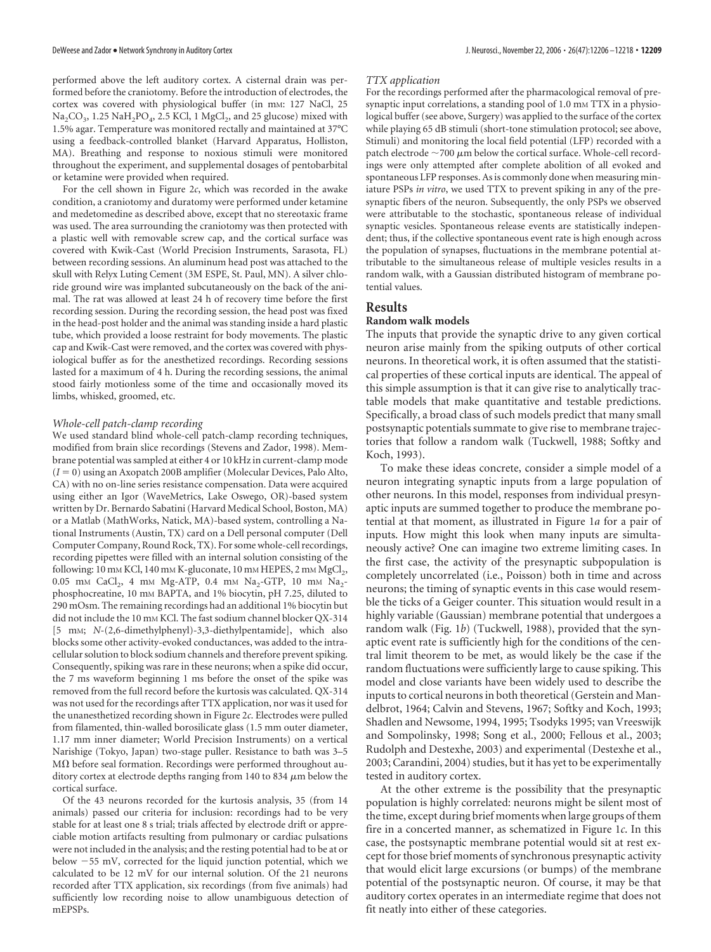performed above the left auditory cortex. A cisternal drain was performed before the craniotomy. Before the introduction of electrodes, the cortex was covered with physiological buffer (in mM: 127 NaCl, 25  $Na_2CO_3$ , 1.25 NaH<sub>2</sub>PO<sub>4</sub>, 2.5 KCl, 1 MgCl<sub>2</sub>, and 25 glucose) mixed with 1.5% agar. Temperature was monitored rectally and maintained at 37°C using a feedback-controlled blanket (Harvard Apparatus, Holliston, MA). Breathing and response to noxious stimuli were monitored throughout the experiment, and supplemental dosages of pentobarbital or ketamine were provided when required.

For the cell shown in Figure 2*c*, which was recorded in the awake condition, a craniotomy and duratomy were performed under ketamine and medetomedine as described above, except that no stereotaxic frame was used. The area surrounding the craniotomy was then protected with a plastic well with removable screw cap, and the cortical surface was covered with Kwik-Cast (World Precision Instruments, Sarasota, FL) between recording sessions. An aluminum head post was attached to the skull with Relyx Luting Cement (3M ESPE, St. Paul, MN). A silver chloride ground wire was implanted subcutaneously on the back of the animal. The rat was allowed at least 24 h of recovery time before the first recording session. During the recording session, the head post was fixed in the head-post holder and the animal was standing inside a hard plastic tube, which provided a loose restraint for body movements. The plastic cap and Kwik-Cast were removed, and the cortex was covered with physiological buffer as for the anesthetized recordings. Recording sessions lasted for a maximum of 4 h. During the recording sessions, the animal stood fairly motionless some of the time and occasionally moved its limbs, whisked, groomed, etc.

# *Whole-cell patch-clamp recording*

We used standard blind whole-cell patch-clamp recording techniques, modified from brain slice recordings (Stevens and Zador, 1998). Membrane potential was sampled at either 4 or 10 kHz in current-clamp mode  $(I = 0)$  using an Axopatch 200B amplifier (Molecular Devices, Palo Alto, CA) with no on-line series resistance compensation. Data were acquired using either an Igor (WaveMetrics, Lake Oswego, OR)-based system written by Dr. Bernardo Sabatini (Harvard Medical School, Boston, MA) or a Matlab (MathWorks, Natick, MA)-based system, controlling a National Instruments (Austin, TX) card on a Dell personal computer (Dell Computer Company, Round Rock, TX). For some whole-cell recordings, recording pipettes were filled with an internal solution consisting of the following: 10 mm KCl, 140 mm K-gluconate, 10 mm HEPES, 2 mm MgCl<sub>2</sub>, 0.05 mm CaCl<sub>2</sub>, 4 mm Mg-ATP, 0.4 mm Na<sub>2</sub>-GTP, 10 mm Na<sub>2</sub>phosphocreatine, 10 mM BAPTA, and 1% biocytin, pH 7.25, diluted to 290 mOsm. The remaining recordings had an additional 1% biocytin but did not include the 10 mM KCl. The fast sodium channel blocker QX-314 [5 mM; *N*-(2,6-dimethylphenyl)-3,3-diethylpentamide], which also blocks some other activity-evoked conductances, was added to the intracellular solution to block sodium channels and therefore prevent spiking. Consequently, spiking was rare in these neurons; when a spike did occur, the 7 ms waveform beginning 1 ms before the onset of the spike was removed from the full record before the kurtosis was calculated. QX-314 was not used for the recordings after TTX application, nor was it used for the unanesthetized recording shown in Figure 2*c*. Electrodes were pulled from filamented, thin-walled borosilicate glass (1.5 mm outer diameter, 1.17 mm inner diameter; World Precision Instruments) on a vertical Narishige (Tokyo, Japan) two-stage puller. Resistance to bath was 3–5  $M\Omega$  before seal formation. Recordings were performed throughout auditory cortex at electrode depths ranging from 140 to 834  $\mu$ m below the cortical surface.

Of the 43 neurons recorded for the kurtosis analysis, 35 (from 14 animals) passed our criteria for inclusion: recordings had to be very stable for at least one 8 s trial; trials affected by electrode drift or appreciable motion artifacts resulting from pulmonary or cardiac pulsations were not included in the analysis; and the resting potential had to be at or below  $-55$  mV, corrected for the liquid junction potential, which we calculated to be 12 mV for our internal solution. Of the 21 neurons recorded after TTX application, six recordings (from five animals) had sufficiently low recording noise to allow unambiguous detection of mEPSPs.

# *TTX application*

For the recordings performed after the pharmacological removal of presynaptic input correlations, a standing pool of 1.0 mm TTX in a physiological buffer (see above, Surgery) was applied to the surface of the cortex while playing 65 dB stimuli (short-tone stimulation protocol; see above, Stimuli) and monitoring the local field potential (LFP) recorded with a patch electrode  $\sim$  700  $\mu$ m below the cortical surface. Whole-cell recordings were only attempted after complete abolition of all evoked and spontaneous LFP responses. As is commonly done when measuring miniature PSPs *in vitro*, we used TTX to prevent spiking in any of the presynaptic fibers of the neuron. Subsequently, the only PSPs we observed were attributable to the stochastic, spontaneous release of individual synaptic vesicles. Spontaneous release events are statistically independent; thus, if the collective spontaneous event rate is high enough across the population of synapses, fluctuations in the membrane potential attributable to the simultaneous release of multiple vesicles results in a random walk, with a Gaussian distributed histogram of membrane potential values.

# **Results**

# **Random walk models**

The inputs that provide the synaptic drive to any given cortical neuron arise mainly from the spiking outputs of other cortical neurons. In theoretical work, it is often assumed that the statistical properties of these cortical inputs are identical. The appeal of this simple assumption is that it can give rise to analytically tractable models that make quantitative and testable predictions. Specifically, a broad class of such models predict that many small postsynaptic potentials summate to give rise to membrane trajectories that follow a random walk (Tuckwell, 1988; Softky and Koch, 1993).

To make these ideas concrete, consider a simple model of a neuron integrating synaptic inputs from a large population of other neurons. In this model, responses from individual presynaptic inputs are summed together to produce the membrane potential at that moment, as illustrated in Figure 1*a* for a pair of inputs. How might this look when many inputs are simultaneously active? One can imagine two extreme limiting cases. In the first case, the activity of the presynaptic subpopulation is completely uncorrelated (i.e., Poisson) both in time and across neurons; the timing of synaptic events in this case would resemble the ticks of a Geiger counter. This situation would result in a highly variable (Gaussian) membrane potential that undergoes a random walk (Fig. 1*b*) (Tuckwell, 1988), provided that the synaptic event rate is sufficiently high for the conditions of the central limit theorem to be met, as would likely be the case if the random fluctuations were sufficiently large to cause spiking. This model and close variants have been widely used to describe the inputs to cortical neurons in both theoretical (Gerstein and Mandelbrot, 1964; Calvin and Stevens, 1967; Softky and Koch, 1993; Shadlen and Newsome, 1994, 1995; Tsodyks 1995; van Vreeswijk and Sompolinsky, 1998; Song et al., 2000; Fellous et al., 2003; Rudolph and Destexhe, 2003) and experimental (Destexhe et al., 2003; Carandini, 2004) studies, but it has yet to be experimentally tested in auditory cortex.

At the other extreme is the possibility that the presynaptic population is highly correlated: neurons might be silent most of the time, except during brief moments when large groups of them fire in a concerted manner, as schematized in Figure 1*c*. In this case, the postsynaptic membrane potential would sit at rest except for those brief moments of synchronous presynaptic activity that would elicit large excursions (or bumps) of the membrane potential of the postsynaptic neuron. Of course, it may be that auditory cortex operates in an intermediate regime that does not fit neatly into either of these categories.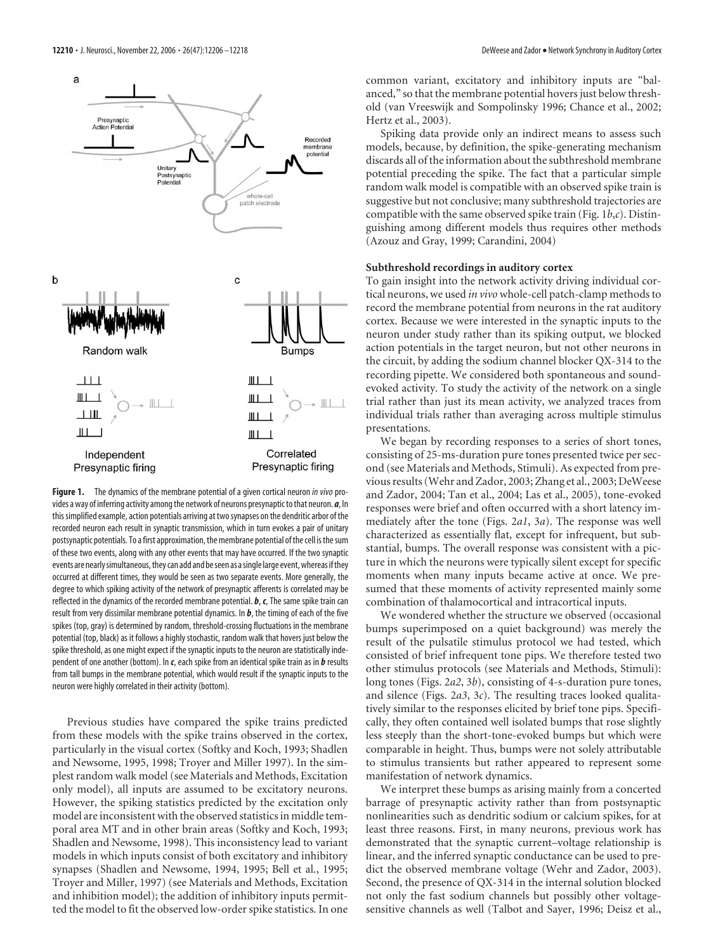

**Figure 1.** The dynamics of the membrane potential of a given cortical neuron *in vivo* provides a way of inferring activity among the network of neurons presynaptic to that neuron.  $a$ , In this simplified example, action potentials arriving at two synapses on the dendritic arbor of the recorded neuron each result in synaptic transmission, which in turn evokes a pair of unitary postsynaptic potentials. To a first approximation, the membrane potential of the cell is the sum of these two events, along with any other events that may have occurred. If the two synaptic events are nearly simultaneous, they can add and be seen as a single large event, whereas if they occurred at different times, they would be seen as two separate events. More generally, the degree to which spiking activity of the network of presynaptic afferents is correlated may be reflected in the dynamics of the recorded membrane potential. *b*, *c*, The same spike train can result from very dissimilar membrane potential dynamics. In *b*, the timing of each of the five spikes (top, gray) is determined by random, threshold-crossing fluctuations in the membrane potential (top, black) as it follows a highly stochastic, random walk that hovers just below the spike threshold, as one might expect if the synaptic inputs to the neuron are statistically independent of one another (bottom). In *c*, each spike from an identical spike train as in *b* results from tall bumps in the membrane potential, which would result if the synaptic inputs to the neuron were highly correlated in their activity (bottom).

Previous studies have compared the spike trains predicted from these models with the spike trains observed in the cortex, particularly in the visual cortex (Softky and Koch, 1993; Shadlen and Newsome, 1995, 1998; Troyer and Miller 1997). In the simplest random walk model (see Materials and Methods, Excitation only model), all inputs are assumed to be excitatory neurons. However, the spiking statistics predicted by the excitation only model are inconsistent with the observed statistics in middle temporal area MT and in other brain areas (Softky and Koch, 1993; Shadlen and Newsome, 1998). This inconsistency lead to variant models in which inputs consist of both excitatory and inhibitory synapses (Shadlen and Newsome, 1994, 1995; Bell et al., 1995; Troyer and Miller, 1997) (see Materials and Methods, Excitation and inhibition model); the addition of inhibitory inputs permitted the model to fit the observed low-order spike statistics. In one

common variant, excitatory and inhibitory inputs are "balanced," so that the membrane potential hovers just below threshold (van Vreeswijk and Sompolinsky 1996; Chance et al., 2002; Hertz et al., 2003).

Spiking data provide only an indirect means to assess such models, because, by definition, the spike-generating mechanism discards all of the information about the subthreshold membrane potential preceding the spike. The fact that a particular simple random walk model is compatible with an observed spike train is suggestive but not conclusive; many subthreshold trajectories are compatible with the same observed spike train (Fig. 1*b*,*c*). Distinguishing among different models thus requires other methods (Azouz and Gray, 1999; Carandini, 2004)

# **Subthreshold recordings in auditory cortex**

To gain insight into the network activity driving individual cortical neurons, we used *in vivo* whole-cell patch-clamp methods to record the membrane potential from neurons in the rat auditory cortex. Because we were interested in the synaptic inputs to the neuron under study rather than its spiking output, we blocked action potentials in the target neuron, but not other neurons in the circuit, by adding the sodium channel blocker QX-314 to the recording pipette. We considered both spontaneous and soundevoked activity. To study the activity of the network on a single trial rather than just its mean activity, we analyzed traces from individual trials rather than averaging across multiple stimulus presentations.

We began by recording responses to a series of short tones, consisting of 25-ms-duration pure tones presented twice per second (see Materials and Methods, Stimuli). As expected from previous results (Wehr and Zador, 2003; Zhang et al., 2003; DeWeese and Zador, 2004; Tan et al., 2004; Las et al., 2005), tone-evoked responses were brief and often occurred with a short latency immediately after the tone (Figs. 2*a1*, 3*a*). The response was well characterized as essentially flat, except for infrequent, but substantial, bumps. The overall response was consistent with a picture in which the neurons were typically silent except for specific moments when many inputs became active at once. We presumed that these moments of activity represented mainly some combination of thalamocortical and intracortical inputs.

We wondered whether the structure we observed (occasional bumps superimposed on a quiet background) was merely the result of the pulsatile stimulus protocol we had tested, which consisted of brief infrequent tone pips. We therefore tested two other stimulus protocols (see Materials and Methods, Stimuli): long tones (Figs. 2*a2*, 3*b*), consisting of 4-s-duration pure tones, and silence (Figs. 2*a3*, 3*c*). The resulting traces looked qualitatively similar to the responses elicited by brief tone pips. Specifically, they often contained well isolated bumps that rose slightly less steeply than the short-tone-evoked bumps but which were comparable in height. Thus, bumps were not solely attributable to stimulus transients but rather appeared to represent some manifestation of network dynamics.

We interpret these bumps as arising mainly from a concerted barrage of presynaptic activity rather than from postsynaptic nonlinearities such as dendritic sodium or calcium spikes, for at least three reasons. First, in many neurons, previous work has demonstrated that the synaptic current–voltage relationship is linear, and the inferred synaptic conductance can be used to predict the observed membrane voltage (Wehr and Zador, 2003). Second, the presence of QX-314 in the internal solution blocked not only the fast sodium channels but possibly other voltagesensitive channels as well (Talbot and Sayer, 1996; Deisz et al.,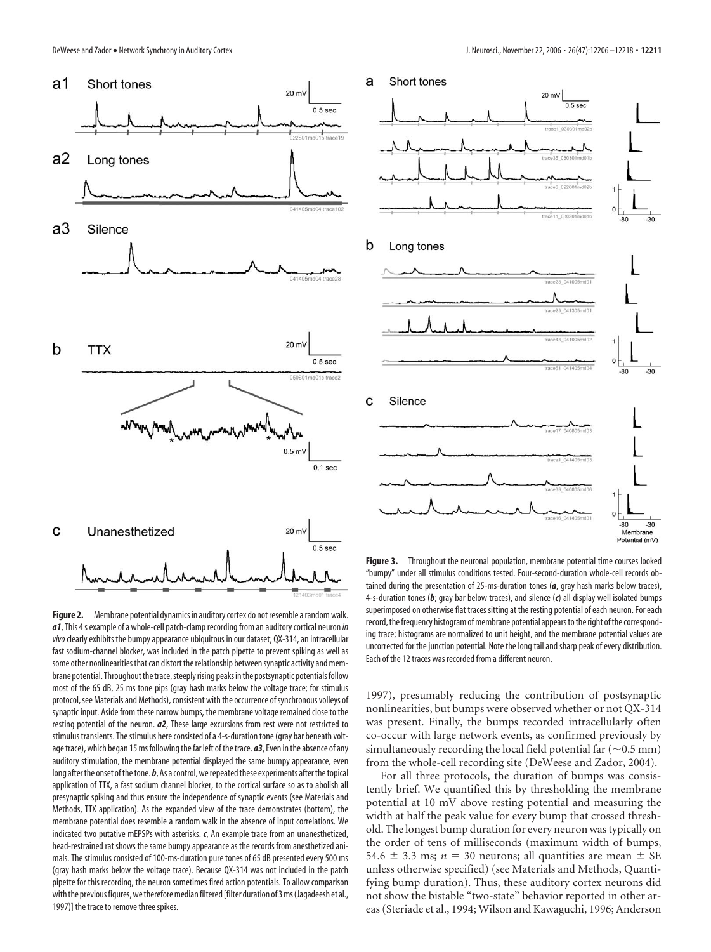

**Figure 2.** Membrane potential dynamics in auditory cortex do not resemble a random walk. *a1*, This 4 s example of a whole-cell patch-clamp recording from an auditory cortical neuron *in vivo*clearly exhibits the bumpy appearance ubiquitous in our dataset; QX-314, an intracellular fast sodium-channel blocker, was included in the patch pipette to prevent spiking as well as some other nonlinearities that can distort the relationship between synaptic activity and membrane potential. Throughout the trace, steeply rising peaks in the postsynaptic potentials follow most of the 65 dB, 25 ms tone pips (gray hash marks below the voltage trace; for stimulus protocol, see Materials and Methods), consistent with the occurrence of synchronous volleys of synaptic input. Aside from these narrow bumps, the membrane voltage remained close to the resting potential of the neuron. *a2*, These large excursions from rest were not restricted to stimulus transients. The stimulus here consisted of a 4-s-duration tone (gray bar beneath voltage trace), which began 15 ms following the far left of the trace. *a3*, Even in the absence of any auditory stimulation, the membrane potential displayed the same bumpy appearance, even long after the onset of the tone. *b*, As a control, we repeated these experiments after the topical application of TTX, a fast sodium channel blocker, to the cortical surface so as to abolish all presynaptic spiking and thus ensure the independence of synaptic events (see Materials and Methods, TTX application). As the expanded view of the trace demonstrates (bottom), the membrane potential does resemble a random walk in the absence of input correlations. We indicated two putative mEPSPs with asterisks. *c*, An example trace from an unanesthetized, head-restrained rat shows the same bumpy appearance as the records from anesthetized animals. The stimulus consisted of 100-ms-duration pure tones of 65 dB presented every 500 ms (gray hash marks below the voltage trace). Because QX-314 was not included in the patch pipette for this recording, the neuron sometimes fired action potentials. To allow comparison with the previous figures, we therefore median filtered [filter duration of 3 ms (Jagadeesh et al., 1997)] the trace to remove three spikes.



**Figure 3.** Throughout the neuronal population, membrane potential time courses looked "bumpy" under all stimulus conditions tested. Four-second-duration whole-cell records obtained during the presentation of 25-ms-duration tones (*a*, gray hash marks below traces), 4-s-duration tones (*b*; gray bar below traces), and silence (*c*) all display well isolated bumps superimposed on otherwise flat traces sitting at the resting potential of each neuron. For each record, the frequency histogram of membrane potential appears to the right of the corresponding trace; histograms are normalized to unit height, and the membrane potential values are uncorrected for the junction potential. Note the long tail and sharp peak of every distribution. Each of the 12 traces was recorded from a different neuron.

1997), presumably reducing the contribution of postsynaptic nonlinearities, but bumps were observed whether or not QX-314 was present. Finally, the bumps recorded intracellularly often co-occur with large network events, as confirmed previously by simultaneously recording the local field potential far  $(\sim 0.5 \text{ mm})$ from the whole-cell recording site (DeWeese and Zador, 2004).

For all three protocols, the duration of bumps was consistently brief. We quantified this by thresholding the membrane potential at 10 mV above resting potential and measuring the width at half the peak value for every bump that crossed threshold. The longest bump duration for every neuron was typically on the order of tens of milliseconds (maximum width of bumps, 54.6  $\pm$  3.3 ms;  $n = 30$  neurons; all quantities are mean  $\pm$  SE unless otherwise specified) (see Materials and Methods, Quantifying bump duration). Thus, these auditory cortex neurons did not show the bistable "two-state" behavior reported in other areas (Steriade et al., 1994; Wilson and Kawaguchi, 1996; Anderson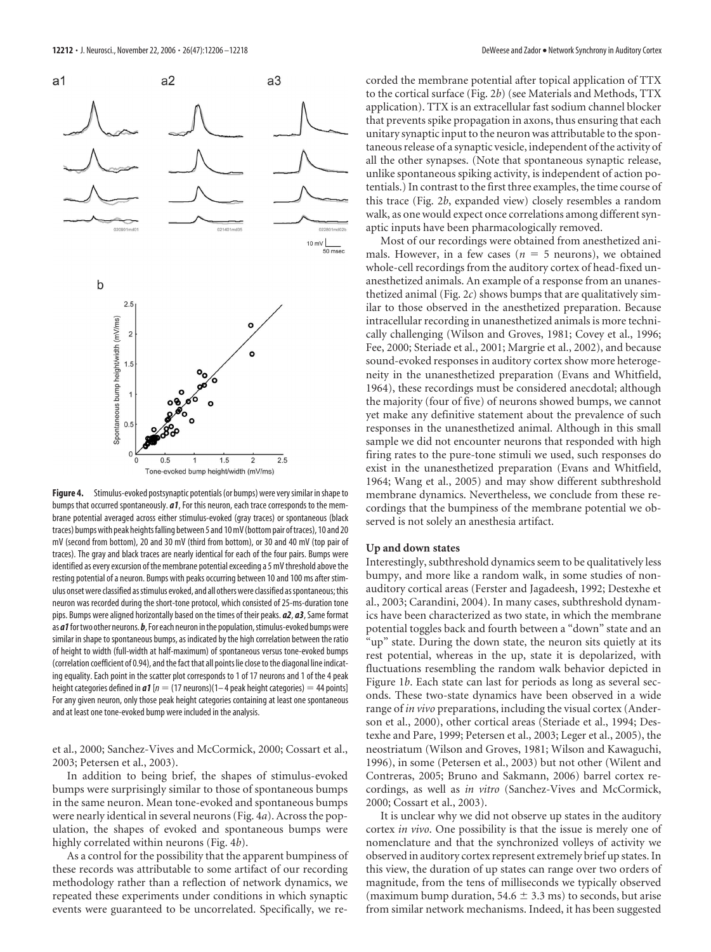

Figure 4. Stimulus-evoked postsynaptic potentials (or bumps) were very similar in shape to bumps that occurred spontaneously. *a1*, For this neuron, each trace corresponds to the membrane potential averaged across either stimulus-evoked (gray traces) or spontaneous (black traces) bumps with peak heights falling between 5 and 10 mV (bottom pair of traces), 10 and 20 mV (second from bottom), 20 and 30 mV (third from bottom), or 30 and 40 mV (top pair of traces). The gray and black traces are nearly identical for each of the four pairs. Bumps were identified as every excursion of the membrane potential exceeding a 5 mV threshold above the resting potential of a neuron. Bumps with peaks occurring between 10 and 100 ms after stimulus onset were classified as stimulus evoked, and all others were classified as spontaneous; this neuron was recorded during the short-tone protocol, which consisted of 25-ms-duration tone pips. Bumps were aligned horizontally based on the times of their peaks. *a2*, *a3*, Same format as *a1* for two other neurons. *b*, For each neuron in the population, stimulus-evoked bumps were similar in shape to spontaneous bumps, as indicated by the high correlation between the ratio of height to width (full-width at half-maximum) of spontaneous versus tone-evoked bumps (correlation coefficient of 0.94), and the fact that all points lie close to the diagonal line indicating equality. Each point in the scatter plot corresponds to 1 of 17 neurons and 1 of the 4 peak height categories defined in **a1** [n  $=$  (17 neurons)(1–4 peak height categories)  $=$  44 points] For any given neuron, only those peak height categories containing at least one spontaneous and at least one tone-evoked bump were included in the analysis.

et al., 2000; Sanchez-Vives and McCormick, 2000; Cossart et al., 2003; Petersen et al., 2003).

In addition to being brief, the shapes of stimulus-evoked bumps were surprisingly similar to those of spontaneous bumps in the same neuron. Mean tone-evoked and spontaneous bumps were nearly identical in several neurons (Fig. 4*a*). Across the population, the shapes of evoked and spontaneous bumps were highly correlated within neurons (Fig. 4*b*).

As a control for the possibility that the apparent bumpiness of these records was attributable to some artifact of our recording methodology rather than a reflection of network dynamics, we repeated these experiments under conditions in which synaptic events were guaranteed to be uncorrelated. Specifically, we recorded the membrane potential after topical application of TTX to the cortical surface (Fig. 2*b*) (see Materials and Methods, TTX application). TTX is an extracellular fast sodium channel blocker that prevents spike propagation in axons, thus ensuring that each unitary synaptic input to the neuron was attributable to the spontaneous release of a synaptic vesicle, independent of the activity of all the other synapses. (Note that spontaneous synaptic release, unlike spontaneous spiking activity, is independent of action potentials.) In contrast to the first three examples, the time course of this trace (Fig. 2*b*, expanded view) closely resembles a random walk, as one would expect once correlations among different synaptic inputs have been pharmacologically removed.

Most of our recordings were obtained from anesthetized animals. However, in a few cases ( $n = 5$  neurons), we obtained whole-cell recordings from the auditory cortex of head-fixed unanesthetized animals. An example of a response from an unanesthetized animal (Fig. 2*c*) shows bumps that are qualitatively similar to those observed in the anesthetized preparation. Because intracellular recording in unanesthetized animals is more technically challenging (Wilson and Groves, 1981; Covey et al., 1996; Fee, 2000; Steriade et al., 2001; Margrie et al., 2002), and because sound-evoked responses in auditory cortex show more heterogeneity in the unanesthetized preparation (Evans and Whitfield, 1964), these recordings must be considered anecdotal; although the majority (four of five) of neurons showed bumps, we cannot yet make any definitive statement about the prevalence of such responses in the unanesthetized animal. Although in this small sample we did not encounter neurons that responded with high firing rates to the pure-tone stimuli we used, such responses do exist in the unanesthetized preparation (Evans and Whitfield, 1964; Wang et al., 2005) and may show different subthreshold membrane dynamics. Nevertheless, we conclude from these recordings that the bumpiness of the membrane potential we observed is not solely an anesthesia artifact.

#### **Up and down states**

Interestingly, subthreshold dynamics seem to be qualitatively less bumpy, and more like a random walk, in some studies of nonauditory cortical areas (Ferster and Jagadeesh, 1992; Destexhe et al., 2003; Carandini, 2004). In many cases, subthreshold dynamics have been characterized as two state, in which the membrane potential toggles back and fourth between a "down" state and an "up" state. During the down state, the neuron sits quietly at its rest potential, whereas in the up, state it is depolarized, with fluctuations resembling the random walk behavior depicted in Figure 1*b*. Each state can last for periods as long as several seconds. These two-state dynamics have been observed in a wide range of *in vivo* preparations, including the visual cortex (Anderson et al., 2000), other cortical areas (Steriade et al., 1994; Destexhe and Pare, 1999; Petersen et al., 2003; Leger et al., 2005), the neostriatum (Wilson and Groves, 1981; Wilson and Kawaguchi, 1996), in some (Petersen et al., 2003) but not other (Wilent and Contreras, 2005; Bruno and Sakmann, 2006) barrel cortex recordings, as well as *in vitro* (Sanchez-Vives and McCormick, 2000; Cossart et al., 2003).

It is unclear why we did not observe up states in the auditory cortex *in vivo*. One possibility is that the issue is merely one of nomenclature and that the synchronized volleys of activity we observed in auditory cortex represent extremely brief up states. In this view, the duration of up states can range over two orders of magnitude, from the tens of milliseconds we typically observed (maximum bump duration,  $54.6 \pm 3.3$  ms) to seconds, but arise from similar network mechanisms. Indeed, it has been suggested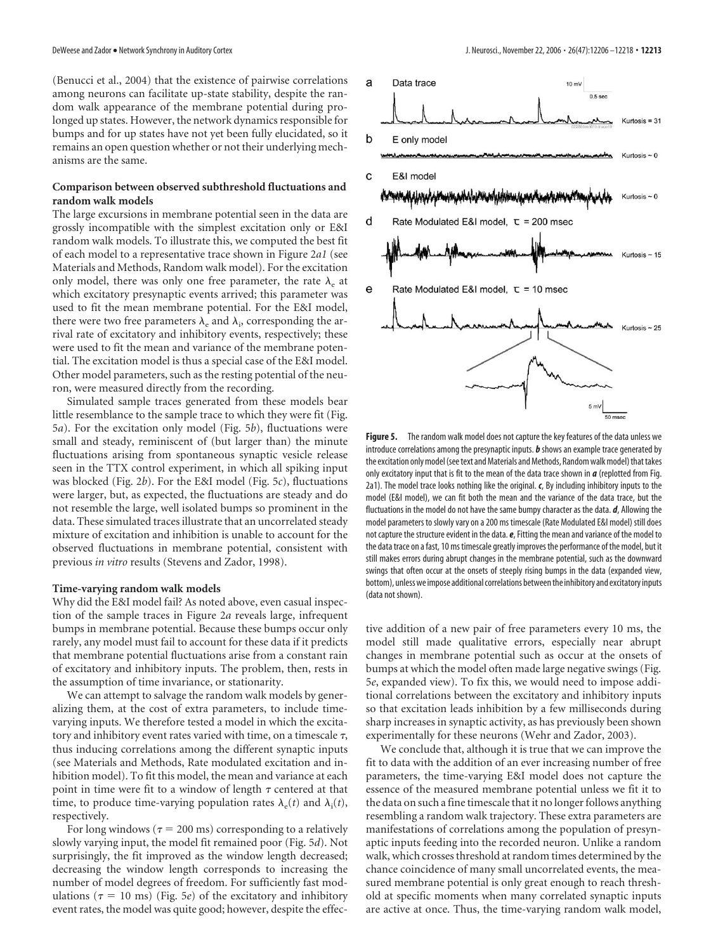(Benucci et al., 2004) that the existence of pairwise correlations among neurons can facilitate up-state stability, despite the random walk appearance of the membrane potential during prolonged up states. However, the network dynamics responsible for bumps and for up states have not yet been fully elucidated, so it remains an open question whether or not their underlying mechanisms are the same.

# **Comparison between observed subthreshold fluctuations and random walk models**

The large excursions in membrane potential seen in the data are grossly incompatible with the simplest excitation only or E&I random walk models. To illustrate this, we computed the best fit of each model to a representative trace shown in Figure 2*a1* (see Materials and Methods, Random walk model). For the excitation only model, there was only one free parameter, the rate  $\lambda_{\text{e}}$  at which excitatory presynaptic events arrived; this parameter was used to fit the mean membrane potential. For the E&I model, there were two free parameters  $\lambda_e$  and  $\lambda_i$ , corresponding the arrival rate of excitatory and inhibitory events, respectively; these were used to fit the mean and variance of the membrane potential. The excitation model is thus a special case of the E&I model. Other model parameters, such as the resting potential of the neuron, were measured directly from the recording.

Simulated sample traces generated from these models bear little resemblance to the sample trace to which they were fit (Fig. 5*a*). For the excitation only model (Fig. 5*b*), fluctuations were small and steady, reminiscent of (but larger than) the minute fluctuations arising from spontaneous synaptic vesicle release seen in the TTX control experiment, in which all spiking input was blocked (Fig. 2*b*). For the E&I model (Fig. 5*c*), fluctuations were larger, but, as expected, the fluctuations are steady and do not resemble the large, well isolated bumps so prominent in the data. These simulated traces illustrate that an uncorrelated steady mixture of excitation and inhibition is unable to account for the observed fluctuations in membrane potential, consistent with previous *in vitro* results (Stevens and Zador, 1998).

#### **Time-varying random walk models**

Why did the E&I model fail? As noted above, even casual inspection of the sample traces in Figure 2*a* reveals large, infrequent bumps in membrane potential. Because these bumps occur only rarely, any model must fail to account for these data if it predicts that membrane potential fluctuations arise from a constant rain of excitatory and inhibitory inputs. The problem, then, rests in the assumption of time invariance, or stationarity.

We can attempt to salvage the random walk models by generalizing them, at the cost of extra parameters, to include timevarying inputs. We therefore tested a model in which the excitatory and inhibitory event rates varied with time, on a timescale  $\tau$ , thus inducing correlations among the different synaptic inputs (see Materials and Methods, Rate modulated excitation and inhibition model). To fit this model, the mean and variance at each point in time were fit to a window of length  $\tau$  centered at that time, to produce time-varying population rates  $\lambda_e(t)$  and  $\lambda_i(t)$ , respectively.

For long windows ( $\tau$  = 200 ms) corresponding to a relatively slowly varying input, the model fit remained poor (Fig. 5*d*). Not surprisingly, the fit improved as the window length decreased; decreasing the window length corresponds to increasing the number of model degrees of freedom. For sufficiently fast modulations ( $\tau = 10$  ms) (Fig. 5*e*) of the excitatory and inhibitory event rates, the model was quite good; however, despite the effec-



**Figure 5.** The random walk model does not capture the key features of the data unless we introduce correlations among the presynaptic inputs. *b* shows an example trace generated by the excitation only model (see text and Materials and Methods, Random walk model) that takes only excitatory input that is fit to the mean of the data trace shown in *a* (replotted from Fig. 2a1). The model trace looks nothing like the original. *c*, By including inhibitory inputs to the model (E&I model), we can fit both the mean and the variance of the data trace, but the fluctuations in the model do not have the same bumpy character as the data. *d*, Allowing the model parameters to slowly vary on a 200 ms timescale (Rate Modulated E&I model) still does not capture the structure evident in the data.*e*, Fitting the mean and variance of the model to the data trace on a fast, 10 ms timescale greatly improves the performance of the model, but it still makes errors during abrupt changes in the membrane potential, such as the downward swings that often occur at the onsets of steeply rising bumps in the data (expanded view, bottom), unless we impose additional correlations between the inhibitory and excitatory inputs (data not shown).

tive addition of a new pair of free parameters every 10 ms, the model still made qualitative errors, especially near abrupt changes in membrane potential such as occur at the onsets of bumps at which the model often made large negative swings (Fig. 5*e*, expanded view). To fix this, we would need to impose additional correlations between the excitatory and inhibitory inputs so that excitation leads inhibition by a few milliseconds during sharp increases in synaptic activity, as has previously been shown experimentally for these neurons (Wehr and Zador, 2003).

We conclude that, although it is true that we can improve the fit to data with the addition of an ever increasing number of free parameters, the time-varying E&I model does not capture the essence of the measured membrane potential unless we fit it to the data on such a fine timescale that it no longer follows anything resembling a random walk trajectory. These extra parameters are manifestations of correlations among the population of presynaptic inputs feeding into the recorded neuron. Unlike a random walk, which crosses threshold at random times determined by the chance coincidence of many small uncorrelated events, the measured membrane potential is only great enough to reach threshold at specific moments when many correlated synaptic inputs are active at once. Thus, the time-varying random walk model,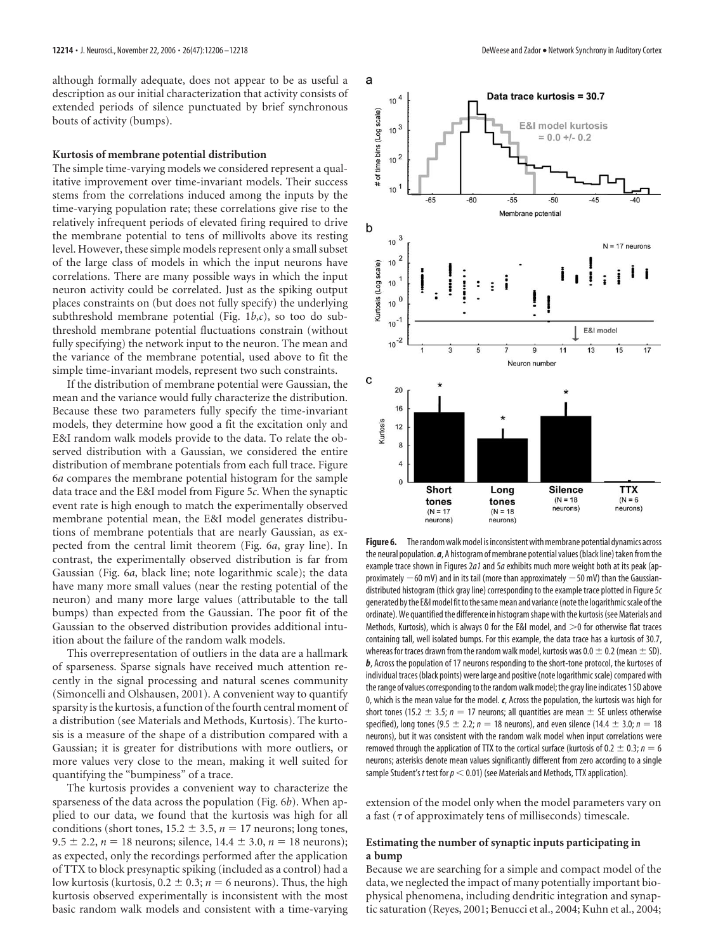although formally adequate, does not appear to be as useful a description as our initial characterization that activity consists of extended periods of silence punctuated by brief synchronous bouts of activity (bumps).

# **Kurtosis of membrane potential distribution**

The simple time-varying models we considered represent a qualitative improvement over time-invariant models. Their success stems from the correlations induced among the inputs by the time-varying population rate; these correlations give rise to the relatively infrequent periods of elevated firing required to drive the membrane potential to tens of millivolts above its resting level. However, these simple models represent only a small subset of the large class of models in which the input neurons have correlations. There are many possible ways in which the input neuron activity could be correlated. Just as the spiking output places constraints on (but does not fully specify) the underlying subthreshold membrane potential (Fig. 1*b*,*c*), so too do subthreshold membrane potential fluctuations constrain (without fully specifying) the network input to the neuron. The mean and the variance of the membrane potential, used above to fit the simple time-invariant models, represent two such constraints.

If the distribution of membrane potential were Gaussian, the mean and the variance would fully characterize the distribution. Because these two parameters fully specify the time-invariant models, they determine how good a fit the excitation only and E&I random walk models provide to the data. To relate the observed distribution with a Gaussian, we considered the entire distribution of membrane potentials from each full trace. Figure 6*a* compares the membrane potential histogram for the sample data trace and the E&I model from Figure 5*c*. When the synaptic event rate is high enough to match the experimentally observed membrane potential mean, the E&I model generates distributions of membrane potentials that are nearly Gaussian, as expected from the central limit theorem (Fig. 6*a*, gray line). In contrast, the experimentally observed distribution is far from Gaussian (Fig. 6*a*, black line; note logarithmic scale); the data have many more small values (near the resting potential of the neuron) and many more large values (attributable to the tall bumps) than expected from the Gaussian. The poor fit of the Gaussian to the observed distribution provides additional intuition about the failure of the random walk models.

This overrepresentation of outliers in the data are a hallmark of sparseness. Sparse signals have received much attention recently in the signal processing and natural scenes community (Simoncelli and Olshausen, 2001). A convenient way to quantify sparsity is the kurtosis, a function of the fourth central moment of a distribution (see Materials and Methods, Kurtosis). The kurtosis is a measure of the shape of a distribution compared with a Gaussian; it is greater for distributions with more outliers, or more values very close to the mean, making it well suited for quantifying the "bumpiness" of a trace.

The kurtosis provides a convenient way to characterize the sparseness of the data across the population (Fig. 6*b*). When applied to our data, we found that the kurtosis was high for all conditions (short tones,  $15.2 \pm 3.5$ ,  $n = 17$  neurons; long tones,  $9.5 \pm 2.2$ ,  $n = 18$  neurons; silence,  $14.4 \pm 3.0$ ,  $n = 18$  neurons); as expected, only the recordings performed after the application of TTX to block presynaptic spiking (included as a control) had a low kurtosis (kurtosis,  $0.2 \pm 0.3$ ;  $n = 6$  neurons). Thus, the high kurtosis observed experimentally is inconsistent with the most basic random walk models and consistent with a time-varying



**Figure 6.** The random walk model is inconsistent with membrane potential dynamics across the neural population. *a*, A histogram of membrane potential values (black line) taken from the example trace shown in Figures 2*a1*and 5*a* exhibits much more weight both at its peak (approximately  $-60$  mV) and in its tail (more than approximately  $-50$  mV) than the Gaussiandistributed histogram (thick gray line) corresponding to the example trace plotted in Figure 5*c* generated by the E&I model fit to the same mean and variance (note the logarithmic scale of the ordinate). We quantified the difference in histogram shape with the kurtosis (see Materials and Methods, Kurtosis), which is always 0 for the E&I model, and  $>$ 0 for otherwise flat traces containing tall, well isolated bumps. For this example, the data trace has a kurtosis of 30.7, whereas for traces drawn from the random walk model, kurtosis was  $0.0 \pm 0.2$  (mean  $\pm$  SD). *b*, Across the population of 17 neurons responding to the short-tone protocol, the kurtoses of individual traces (black points) were large and positive (note logarithmicscale) compared with the range of values corresponding to the random walk model; the gray line indicates 1 SD above 0, which is the mean value for the model. *c*, Across the population, the kurtosis was high for short tones (15.2  $\pm$  3.5;  $n =$  17 neurons; all quantities are mean  $\pm$  SE unless otherwise specified), long tones (9.5  $\pm$  2.2;  $n=$  18 neurons), and even silence (14.4  $\pm$  3.0;  $n=$  18 neurons), but it was consistent with the random walk model when input correlations were removed through the application of TTX to the cortical surface (kurtosis of 0.2  $\pm$  0.3;  $n=6$ neurons; asterisks denote mean values significantly different from zero according to a single sample Student's *t* test for*p* 0.01) (see Materials and Methods, TTX application).

extension of the model only when the model parameters vary on a fast ( $\tau$  of approximately tens of milliseconds) timescale.

# **Estimating the number of synaptic inputs participating in a bump**

Because we are searching for a simple and compact model of the data, we neglected the impact of many potentially important biophysical phenomena, including dendritic integration and synaptic saturation (Reyes, 2001; Benucci et al., 2004; Kuhn et al., 2004;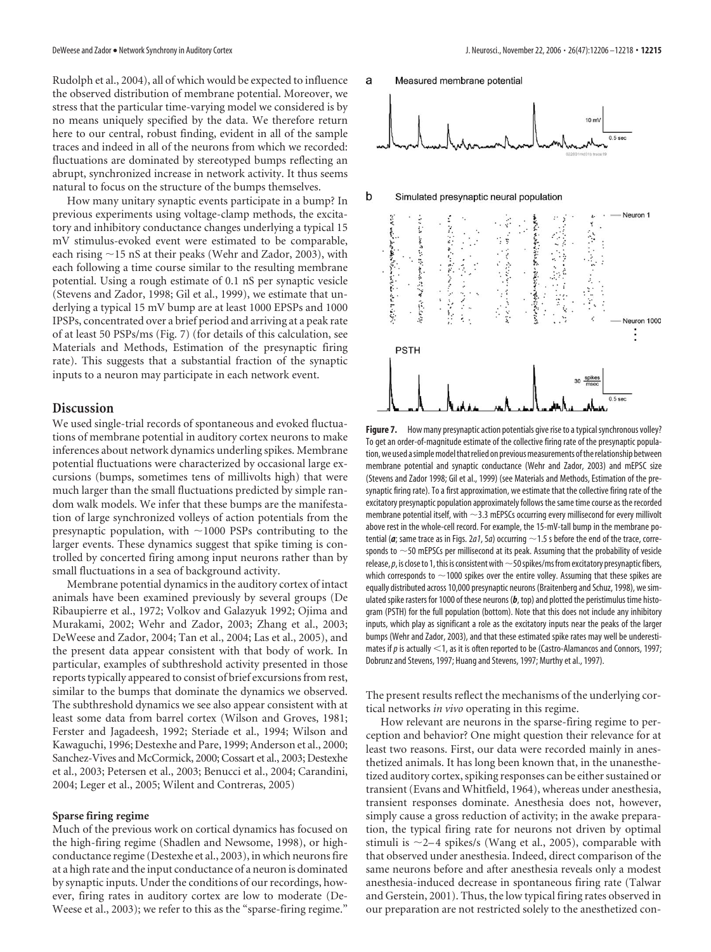Rudolph et al., 2004), all of which would be expected to influence the observed distribution of membrane potential. Moreover, we stress that the particular time-varying model we considered is by no means uniquely specified by the data. We therefore return here to our central, robust finding, evident in all of the sample traces and indeed in all of the neurons from which we recorded: fluctuations are dominated by stereotyped bumps reflecting an abrupt, synchronized increase in network activity. It thus seems natural to focus on the structure of the bumps themselves.

How many unitary synaptic events participate in a bump? In previous experiments using voltage-clamp methods, the excitatory and inhibitory conductance changes underlying a typical 15 mV stimulus-evoked event were estimated to be comparable, each rising  $\sim$ 15 nS at their peaks (Wehr and Zador, 2003), with each following a time course similar to the resulting membrane potential. Using a rough estimate of 0.1 nS per synaptic vesicle (Stevens and Zador, 1998; Gil et al., 1999), we estimate that underlying a typical 15 mV bump are at least 1000 EPSPs and 1000 IPSPs, concentrated over a brief period and arriving at a peak rate of at least 50 PSPs/ms (Fig. 7) (for details of this calculation, see Materials and Methods, Estimation of the presynaptic firing rate). This suggests that a substantial fraction of the synaptic inputs to a neuron may participate in each network event.

# **Discussion**

We used single-trial records of spontaneous and evoked fluctuations of membrane potential in auditory cortex neurons to make inferences about network dynamics underling spikes. Membrane potential fluctuations were characterized by occasional large excursions (bumps, sometimes tens of millivolts high) that were much larger than the small fluctuations predicted by simple random walk models. We infer that these bumps are the manifestation of large synchronized volleys of action potentials from the presynaptic population, with  $\sim$ 1000 PSPs contributing to the larger events. These dynamics suggest that spike timing is controlled by concerted firing among input neurons rather than by small fluctuations in a sea of background activity.

Membrane potential dynamics in the auditory cortex of intact animals have been examined previously by several groups (De Ribaupierre et al., 1972; Volkov and Galazyuk 1992; Ojima and Murakami, 2002; Wehr and Zador, 2003; Zhang et al., 2003; DeWeese and Zador, 2004; Tan et al., 2004; Las et al., 2005), and the present data appear consistent with that body of work. In particular, examples of subthreshold activity presented in those reports typically appeared to consist of brief excursions from rest, similar to the bumps that dominate the dynamics we observed. The subthreshold dynamics we see also appear consistent with at least some data from barrel cortex (Wilson and Groves, 1981; Ferster and Jagadeesh, 1992; Steriade et al., 1994; Wilson and Kawaguchi, 1996; Destexhe and Pare, 1999; Anderson et al., 2000; Sanchez-Vives and McCormick, 2000; Cossart et al., 2003; Destexhe et al., 2003; Petersen et al., 2003; Benucci et al., 2004; Carandini, 2004; Leger et al., 2005; Wilent and Contreras, 2005)

#### **Sparse firing regime**

Much of the previous work on cortical dynamics has focused on the high-firing regime (Shadlen and Newsome, 1998), or highconductance regime (Destexhe et al., 2003), in which neurons fire at a high rate and the input conductance of a neuron is dominated by synaptic inputs. Under the conditions of our recordings, however, firing rates in auditory cortex are low to moderate (De-Weese et al., 2003); we refer to this as the "sparse-firing regime." a Measured membrane potential







Figure 7. How many presynaptic action potentials give rise to a typical synchronous volley? To get an order-of-magnitude estimate of the collective firing rate of the presynaptic population, we used a simple model that relied on previous measurements of the relationship between membrane potential and synaptic conductance (Wehr and Zador, 2003) and mEPSC size (Stevens and Zador 1998; Gil et al., 1999) (see Materials and Methods, Estimation of the presynaptic firing rate). To a first approximation, we estimate that the collective firing rate of the excitatory presynaptic population approximately follows the same time course as the recorded membrane potential itself, with  $\sim$ 3.3 mEPSCs occurring every millisecond for every millivolt above rest in the whole-cell record. For example, the 15-mV-tall bump in the membrane potential ( $a$ ; same trace as in Figs. 2*a1*, 5*a*) occurring  $\sim$  1.5 s before the end of the trace, corresponds to  $\sim$  50 mEPSCs per millisecond at its peak. Assuming that the probability of vesicle release,  $p$ , is close to 1, this is consistent with  $\sim$  50 spikes/ms from excitatory presynaptic fibers, which corresponds to  $\sim$  1000 spikes over the entire volley. Assuming that these spikes are equally distributed across 10,000 presynaptic neurons (Braitenberg and Schuz, 1998), we simulated spike rasters for 1000 of these neurons (*b*, top) and plotted the peristimulus time histogram (PSTH) for the full population (bottom). Note that this does not include any inhibitory inputs, which play as significant a role as the excitatory inputs near the peaks of the larger bumps (Wehr and Zador, 2003), and that these estimated spike rates may well be underestimates if  $p$  is actually  $<$  1, as it is often reported to be (Castro-Alamancos and Connors, 1997; Dobrunz and Stevens, 1997; Huang and Stevens, 1997; Murthy et al., 1997).

The present results reflect the mechanisms of the underlying cortical networks *in vivo* operating in this regime.

How relevant are neurons in the sparse-firing regime to perception and behavior? One might question their relevance for at least two reasons. First, our data were recorded mainly in anesthetized animals. It has long been known that, in the unanesthetized auditory cortex, spiking responses can be either sustained or transient (Evans and Whitfield, 1964), whereas under anesthesia, transient responses dominate. Anesthesia does not, however, simply cause a gross reduction of activity; in the awake preparation, the typical firing rate for neurons not driven by optimal stimuli is  $\sim$ 2–4 spikes/s (Wang et al., 2005), comparable with that observed under anesthesia. Indeed, direct comparison of the same neurons before and after anesthesia reveals only a modest anesthesia-induced decrease in spontaneous firing rate (Talwar and Gerstein, 2001). Thus, the low typical firing rates observed in our preparation are not restricted solely to the anesthetized con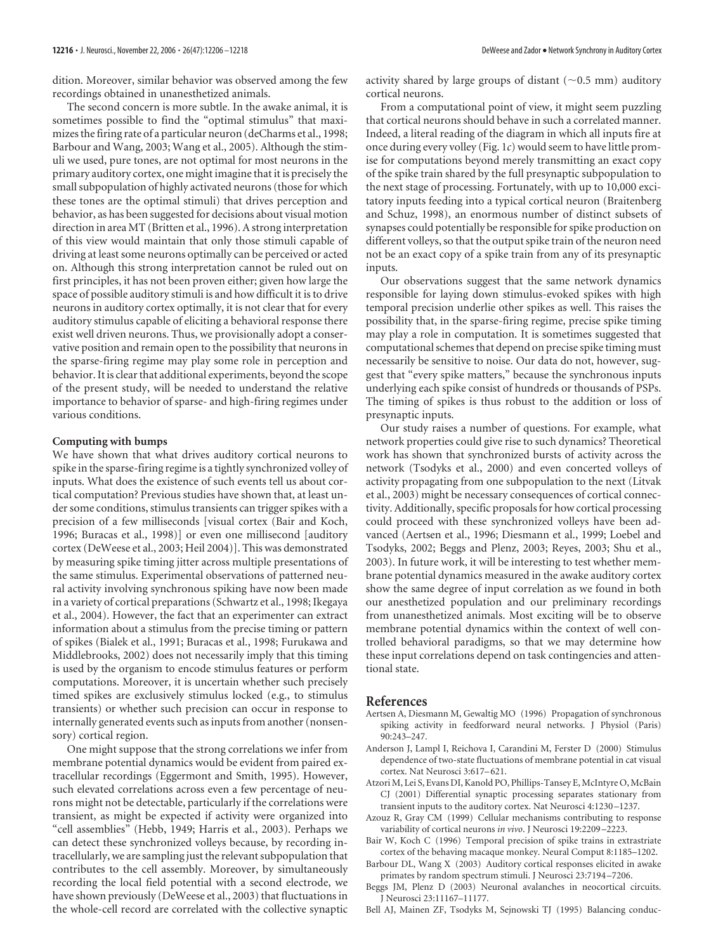dition. Moreover, similar behavior was observed among the few recordings obtained in unanesthetized animals.

The second concern is more subtle. In the awake animal, it is sometimes possible to find the "optimal stimulus" that maximizes the firing rate of a particular neuron (deCharms et al., 1998; Barbour and Wang, 2003; Wang et al., 2005). Although the stimuli we used, pure tones, are not optimal for most neurons in the primary auditory cortex, one might imagine that it is precisely the small subpopulation of highly activated neurons (those for which these tones are the optimal stimuli) that drives perception and behavior, as has been suggested for decisions about visual motion direction in area MT (Britten et al., 1996). A strong interpretation of this view would maintain that only those stimuli capable of driving at least some neurons optimally can be perceived or acted on. Although this strong interpretation cannot be ruled out on first principles, it has not been proven either; given how large the space of possible auditory stimuli is and how difficult it is to drive neurons in auditory cortex optimally, it is not clear that for every auditory stimulus capable of eliciting a behavioral response there exist well driven neurons. Thus, we provisionally adopt a conservative position and remain open to the possibility that neurons in the sparse-firing regime may play some role in perception and behavior. It is clear that additional experiments, beyond the scope of the present study, will be needed to understand the relative importance to behavior of sparse- and high-firing regimes under various conditions.

# **Computing with bumps**

We have shown that what drives auditory cortical neurons to spike in the sparse-firing regime is a tightly synchronized volley of inputs. What does the existence of such events tell us about cortical computation? Previous studies have shown that, at least under some conditions, stimulus transients can trigger spikes with a precision of a few milliseconds [visual cortex (Bair and Koch, 1996; Buracas et al., 1998)] or even one millisecond [auditory cortex (DeWeese et al., 2003; Heil 2004)]. This was demonstrated by measuring spike timing jitter across multiple presentations of the same stimulus. Experimental observations of patterned neural activity involving synchronous spiking have now been made in a variety of cortical preparations (Schwartz et al., 1998; Ikegaya et al., 2004). However, the fact that an experimenter can extract information about a stimulus from the precise timing or pattern of spikes (Bialek et al., 1991; Buracas et al., 1998; Furukawa and Middlebrooks, 2002) does not necessarily imply that this timing is used by the organism to encode stimulus features or perform computations. Moreover, it is uncertain whether such precisely timed spikes are exclusively stimulus locked (e.g., to stimulus transients) or whether such precision can occur in response to internally generated events such as inputs from another (nonsensory) cortical region.

One might suppose that the strong correlations we infer from membrane potential dynamics would be evident from paired extracellular recordings (Eggermont and Smith, 1995). However, such elevated correlations across even a few percentage of neurons might not be detectable, particularly if the correlations were transient, as might be expected if activity were organized into "cell assemblies" (Hebb, 1949; Harris et al., 2003). Perhaps we can detect these synchronized volleys because, by recording intracellularly, we are sampling just the relevant subpopulation that contributes to the cell assembly. Moreover, by simultaneously recording the local field potential with a second electrode, we have shown previously (DeWeese et al., 2003) that fluctuations in the whole-cell record are correlated with the collective synaptic

activity shared by large groups of distant  $(\sim 0.5 \text{ mm})$  auditory cortical neurons.

From a computational point of view, it might seem puzzling that cortical neurons should behave in such a correlated manner. Indeed, a literal reading of the diagram in which all inputs fire at once during every volley (Fig. 1*c*) would seem to have little promise for computations beyond merely transmitting an exact copy of the spike train shared by the full presynaptic subpopulation to the next stage of processing. Fortunately, with up to 10,000 excitatory inputs feeding into a typical cortical neuron (Braitenberg and Schuz, 1998), an enormous number of distinct subsets of synapses could potentially be responsible for spike production on different volleys, so that the output spike train of the neuron need not be an exact copy of a spike train from any of its presynaptic inputs.

Our observations suggest that the same network dynamics responsible for laying down stimulus-evoked spikes with high temporal precision underlie other spikes as well. This raises the possibility that, in the sparse-firing regime, precise spike timing may play a role in computation. It is sometimes suggested that computational schemes that depend on precise spike timing must necessarily be sensitive to noise. Our data do not, however, suggest that "every spike matters," because the synchronous inputs underlying each spike consist of hundreds or thousands of PSPs. The timing of spikes is thus robust to the addition or loss of presynaptic inputs.

Our study raises a number of questions. For example, what network properties could give rise to such dynamics? Theoretical work has shown that synchronized bursts of activity across the network (Tsodyks et al., 2000) and even concerted volleys of activity propagating from one subpopulation to the next (Litvak et al., 2003) might be necessary consequences of cortical connectivity. Additionally, specific proposals for how cortical processing could proceed with these synchronized volleys have been advanced (Aertsen et al., 1996; Diesmann et al., 1999; Loebel and Tsodyks, 2002; Beggs and Plenz, 2003; Reyes, 2003; Shu et al., 2003). In future work, it will be interesting to test whether membrane potential dynamics measured in the awake auditory cortex show the same degree of input correlation as we found in both our anesthetized population and our preliminary recordings from unanesthetized animals. Most exciting will be to observe membrane potential dynamics within the context of well controlled behavioral paradigms, so that we may determine how these input correlations depend on task contingencies and attentional state.

# **References**

- Aertsen A, Diesmann M, Gewaltig MO (1996) Propagation of synchronous spiking activity in feedforward neural networks. J Physiol (Paris) 90:243–247.
- Anderson J, Lampl I, Reichova I, Carandini M, Ferster D (2000) Stimulus dependence of two-state fluctuations of membrane potential in cat visual cortex. Nat Neurosci 3:617–621.
- Atzori M, Lei S, Evans DI, Kanold PO, Phillips-Tansey E, McIntyre O, McBain CJ (2001) Differential synaptic processing separates stationary from transient inputs to the auditory cortex. Nat Neurosci 4:1230 –1237.
- Azouz R, Gray CM (1999) Cellular mechanisms contributing to response variability of cortical neurons *in vivo*. J Neurosci 19:2209 –2223.
- Bair W, Koch C (1996) Temporal precision of spike trains in extrastriate cortex of the behaving macaque monkey. Neural Comput 8:1185–1202.
- Barbour DL, Wang X (2003) Auditory cortical responses elicited in awake primates by random spectrum stimuli. J Neurosci 23:7194 –7206.
- Beggs JM, Plenz D (2003) Neuronal avalanches in neocortical circuits. J Neurosci 23:11167–11177.
- Bell AJ, Mainen ZF, Tsodyks M, Sejnowski TJ (1995) Balancing conduc-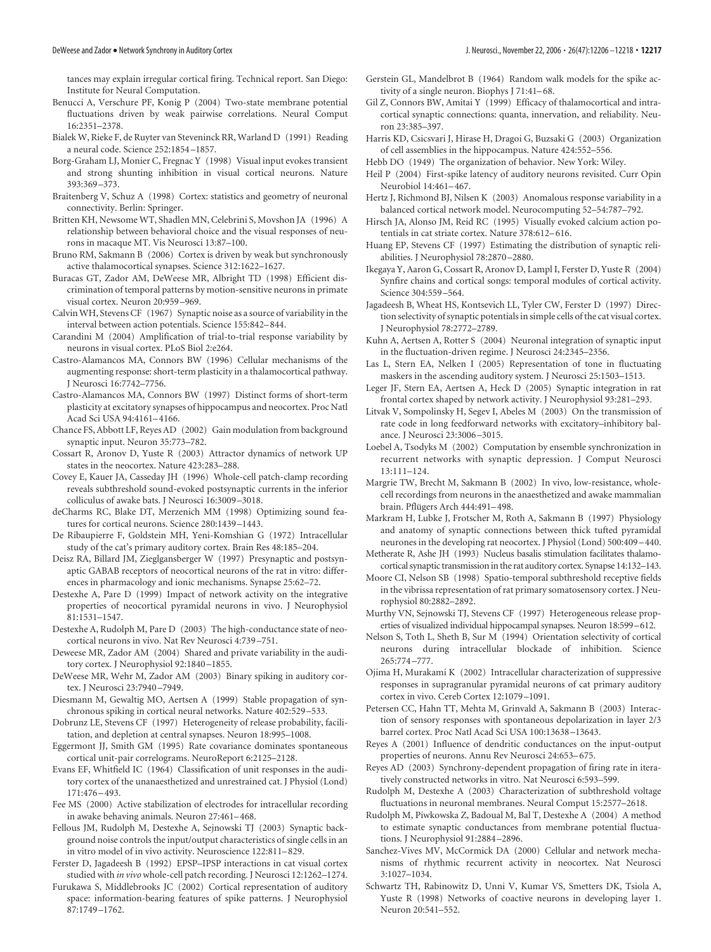tances may explain irregular cortical firing. Technical report. San Diego: Institute for Neural Computation.

- Benucci A, Verschure PF, Konig P (2004) Two-state membrane potential fluctuations driven by weak pairwise correlations. Neural Comput 16:2351–2378.
- Bialek W, Rieke F, de Ruyter van Steveninck RR, Warland D (1991) Reading a neural code. Science 252:1854 –1857.
- Borg-Graham LJ, Monier C, Fregnac Y (1998) Visual input evokes transient and strong shunting inhibition in visual cortical neurons. Nature 393:369 –373.
- Braitenberg V, Schuz A (1998) Cortex: statistics and geometry of neuronal connectivity. Berlin: Springer.
- Britten KH, Newsome WT, Shadlen MN, Celebrini S, Movshon JA (1996) A relationship between behavioral choice and the visual responses of neurons in macaque MT. Vis Neurosci 13:87–100.
- Bruno RM, Sakmann B (2006) Cortex is driven by weak but synchronously active thalamocortical synapses. Science 312:1622–1627.
- Buracas GT, Zador AM, DeWeese MR, Albright TD (1998) Efficient discrimination of temporal patterns by motion-sensitive neurons in primate visual cortex. Neuron 20:959 –969.
- CalvinWH, Stevens CF (1967) Synaptic noise as a source of variability in the interval between action potentials. Science 155:842–844.
- Carandini M (2004) Amplification of trial-to-trial response variability by neurons in visual cortex. PLoS Biol 2:e264.
- Castro-Alamancos MA, Connors BW (1996) Cellular mechanisms of the augmenting response: short-term plasticity in a thalamocortical pathway. J Neurosci 16:7742–7756.
- Castro-Alamancos MA, Connors BW (1997) Distinct forms of short-term plasticity at excitatory synapses of hippocampus and neocortex. Proc Natl Acad Sci USA 94:4161–4166.
- Chance FS, Abbott LF, Reyes AD (2002) Gain modulation from background synaptic input. Neuron 35:773–782.
- Cossart R, Aronov D, Yuste R (2003) Attractor dynamics of network UP states in the neocortex. Nature 423:283–288.
- Covey E, Kauer JA, Casseday JH (1996) Whole-cell patch-clamp recording reveals subthreshold sound-evoked postsynaptic currents in the inferior colliculus of awake bats. J Neurosci 16:3009 –3018.
- deCharms RC, Blake DT, Merzenich MM (1998) Optimizing sound features for cortical neurons. Science 280:1439 –1443.
- De Ribaupierre F, Goldstein MH, Yeni-Komshian G (1972) Intracellular study of the cat's primary auditory cortex. Brain Res 48:185–204.
- Deisz RA, Billard JM, Zieglgansberger W (1997) Presynaptic and postsynaptic GABAB receptors of neocortical neurons of the rat in vitro: differences in pharmacology and ionic mechanisms. Synapse 25:62–72.
- Destexhe A, Pare D (1999) Impact of network activity on the integrative properties of neocortical pyramidal neurons in vivo. J Neurophysiol 81:1531–1547.
- Destexhe A, Rudolph M, Pare D (2003) The high-conductance state of neocortical neurons in vivo. Nat Rev Neurosci 4:739 –751.
- Deweese MR, Zador AM (2004) Shared and private variability in the auditory cortex. J Neurophysiol 92:1840-1855.
- DeWeese MR, Wehr M, Zador AM (2003) Binary spiking in auditory cortex. J Neurosci 23:7940 –7949.
- Diesmann M, Gewaltig MO, Aertsen A (1999) Stable propagation of synchronous spiking in cortical neural networks. Nature 402:529 –533.
- Dobrunz LE, Stevens CF (1997) Heterogeneity of release probability, facilitation, and depletion at central synapses. Neuron 18:995–1008.
- Eggermont JJ, Smith GM (1995) Rate covariance dominates spontaneous cortical unit-pair correlograms. NeuroReport 6:2125–2128.
- Evans EF, Whitfield IC (1964) Classification of unit responses in the auditory cortex of the unanaesthetized and unrestrained cat. J Physiol (Lond) 171:476 –493.
- Fee MS (2000) Active stabilization of electrodes for intracellular recording in awake behaving animals. Neuron 27:461–468.
- Fellous JM, Rudolph M, Destexhe A, Sejnowski TJ (2003) Synaptic background noise controls the input/output characteristics of single cells in an in vitro model of in vivo activity. Neuroscience 122:811–829.
- Ferster D, Jagadeesh B (1992) EPSP–IPSP interactions in cat visual cortex studied with *in vivo* whole-cell patch recording. J Neurosci 12:1262–1274.
- Furukawa S, Middlebrooks JC (2002) Cortical representation of auditory space: information-bearing features of spike patterns. J Neurophysiol 87:1749 –1762.
- Gerstein GL, Mandelbrot B (1964) Random walk models for the spike activity of a single neuron. Biophys J 71:41–68.
- Gil Z, Connors BW, Amitai Y (1999) Efficacy of thalamocortical and intracortical synaptic connections: quanta, innervation, and reliability. Neuron 23:385–397.
- Harris KD, Csicsvari J, Hirase H, Dragoi G, Buzsaki G (2003) Organization of cell assemblies in the hippocampus. Nature 424:552–556.
- Hebb DO (1949) The organization of behavior. New York: Wiley.
- Heil P (2004) First-spike latency of auditory neurons revisited. Curr Opin Neurobiol 14:461–467.
- Hertz J, Richmond BJ, Nilsen K (2003) Anomalous response variability in a balanced cortical network model. Neurocomputing 52–54:787–792.
- Hirsch JA, Alonso JM, Reid RC (1995) Visually evoked calcium action potentials in cat striate cortex. Nature 378:612–616.
- Huang EP, Stevens CF (1997) Estimating the distribution of synaptic reliabilities. J Neurophysiol 78:2870 –2880.
- Ikegaya Y, Aaron G, Cossart R, Aronov D, Lampl I, Ferster D, Yuste R (2004) Synfire chains and cortical songs: temporal modules of cortical activity. Science 304:559 –564.
- Jagadeesh B, Wheat HS, Kontsevich LL, Tyler CW, Ferster D (1997) Direction selectivity of synaptic potentials in simple cells of the cat visual cortex. J Neurophysiol 78:2772–2789.
- Kuhn A, Aertsen A, Rotter S (2004) Neuronal integration of synaptic input in the fluctuation-driven regime. J Neurosci 24:2345–2356.
- Las L, Stern EA, Nelken I (2005) Representation of tone in fluctuating maskers in the ascending auditory system. J Neurosci 25:1503–1513.
- Leger JF, Stern EA, Aertsen A, Heck D (2005) Synaptic integration in rat frontal cortex shaped by network activity. J Neurophysiol 93:281–293.
- Litvak V, Sompolinsky H, Segev I, Abeles M (2003) On the transmission of rate code in long feedforward networks with excitatory–inhibitory balance. J Neurosci 23:3006 –3015.
- Loebel A, Tsodyks M (2002) Computation by ensemble synchronization in recurrent networks with synaptic depression. J Comput Neurosci 13:111–124.
- Margrie TW, Brecht M, Sakmann B (2002) In vivo, low-resistance, wholecell recordings from neurons in the anaesthetized and awake mammalian brain. Pflügers Arch 444:491-498.
- Markram H, Lubke J, Frotscher M, Roth A, Sakmann B (1997) Physiology and anatomy of synaptic connections between thick tufted pyramidal neurones in the developing rat neocortex. J Physiol (Lond) 500:409 –440.
- Metherate R, Ashe JH (1993) Nucleus basalis stimulation facilitates thalamocortical synaptic transmission in the rat auditory cortex. Synapse 14:132–143.
- Moore CI, Nelson SB (1998) Spatio-temporal subthreshold receptive fields in the vibrissa representation of rat primary somatosensory cortex. J Neurophysiol 80:2882–2892.
- Murthy VN, Sejnowski TJ, Stevens CF (1997) Heterogeneous release properties of visualized individual hippocampal synapses. Neuron 18:599 –612.
- Nelson S, Toth L, Sheth B, Sur M (1994) Orientation selectivity of cortical neurons during intracellular blockade of inhibition. Science 265:774 –777.
- Ojima H, Murakami K (2002) Intracellular characterization of suppressive responses in supragranular pyramidal neurons of cat primary auditory cortex in vivo. Cereb Cortex 12:1079 –1091.
- Petersen CC, Hahn TT, Mehta M, Grinvald A, Sakmann B (2003) Interaction of sensory responses with spontaneous depolarization in layer 2/3 barrel cortex. Proc Natl Acad Sci USA 100:13638 –13643.
- Reyes A (2001) Influence of dendritic conductances on the input-output properties of neurons. Annu Rev Neurosci 24:653–675.
- Reyes AD (2003) Synchrony-dependent propagation of firing rate in iteratively constructed networks in vitro. Nat Neurosci 6:593–599.
- Rudolph M, Destexhe A (2003) Characterization of subthreshold voltage fluctuations in neuronal membranes. Neural Comput 15:2577–2618.
- Rudolph M, Piwkowska Z, Badoual M, Bal T, Destexhe A (2004) A method to estimate synaptic conductances from membrane potential fluctuations. J Neurophysiol 91:2884 –2896.
- Sanchez-Vives MV, McCormick DA (2000) Cellular and network mechanisms of rhythmic recurrent activity in neocortex. Nat Neurosci 3:1027–1034.
- Schwartz TH, Rabinowitz D, Unni V, Kumar VS, Smetters DK, Tsiola A, Yuste R (1998) Networks of coactive neurons in developing layer 1. Neuron 20:541–552.